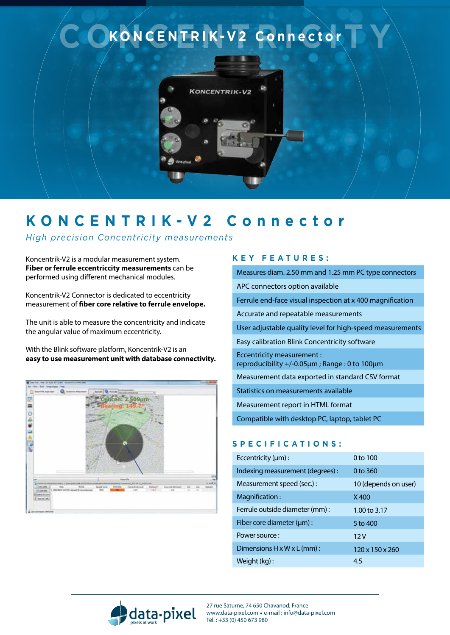

## **KONCENTRIK-V2 Connector**

*High precision Concentricity measurements*

Koncentrik-V2 is a modular measurement system. **Fiber or ferrule eccentriccity measurements** can be performed using different mechanical modules.

Koncentrik-V2 Connector is dedicated to eccentricity measurement of **fiber core relative to ferrule envelope.**

The unit is able to measure the concentricity and indicate the angular value of maximum eccentricity.

With the Blink software platform, Koncentrik-V2 is an **easy to use measurement unit with database connectivity.** 



## **K e y f e a t u re s :**

Measures diam. 2.50 mm and 1.25 mm PC type connectors APC connectors option available Ferrule end-face visual inspection at x 400 magnification Accurate and repeatable measurements User adjustable quality level for high-speed measurements Easy calibration Blink Concentricity software Eccentricity measurement : reproducibility +/-0.05µm ; Range : 0 to 100µm Measurement data exported in standard CSV format Statistics on measurements available Measurement report in HTML format

Compatible with desktop PC, laptop, tablet PC

## **S p eci f ic a tion s :**

| Eccentricity $(\mu m)$ :               | 0 to 100                    |
|----------------------------------------|-----------------------------|
| Indexing measurement (degrees):        | 0 to 360                    |
| Measurement speed (sec.) :             | 10 (depends on user)        |
| Magnification:                         | X400                        |
| Ferrule outside diameter (mm) :        | 1.00 to 3.17                |
| Fiber core diameter $(\mu m)$ :        | 5 to 400                    |
| Power source:                          | 12V                         |
| Dimensions $H \times W \times L$ (mm): | $120 \times 150 \times 260$ |
| Weight (kg):                           | 4.5                         |